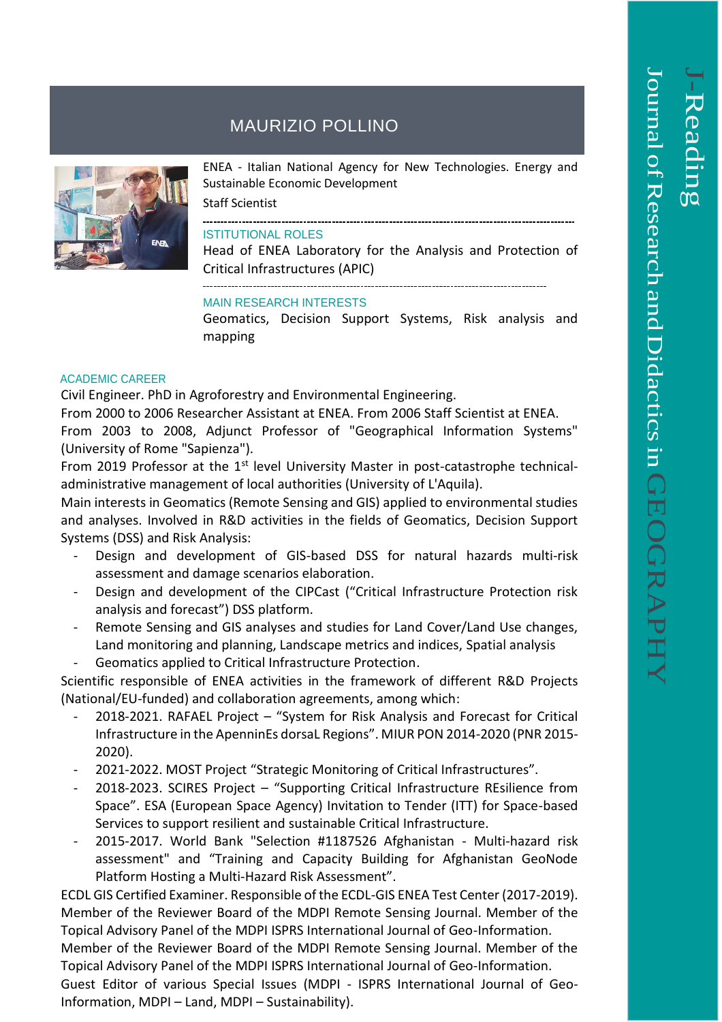## MAURIZIO POLLINO



ENEA - Italian National Agency for New Technologies. Energy and Sustainable Economic Development

Staff Scientist

## ISTITUTIONAL ROLES

Head of ENEA Laboratory for the Analysis and Protection of Critical Infrastructures (APIC)

## MAIN RESEARCH INTERESTS

Geomatics, Decision Support Systems, Risk analysis and mapping

## ACADEMIC CAREER

Civil Engineer. PhD in Agroforestry and Environmental Engineering.

From 2000 to 2006 Researcher Assistant at ENEA. From 2006 Staff Scientist at ENEA.

From 2003 to 2008, Adjunct Professor of "Geographical Information Systems" (University of Rome "Sapienza").

From 2019 Professor at the  $1<sup>st</sup>$  level University Master in post-catastrophe technicaladministrative management of local authorities (University of L'Aquila).

Main interests in Geomatics (Remote Sensing and GIS) applied to environmental studies and analyses. Involved in R&D activities in the fields of Geomatics, Decision Support Systems (DSS) and Risk Analysis:

- Design and development of GIS-based DSS for natural hazards multi-risk assessment and damage scenarios elaboration.
- Design and development of the CIPCast ("Critical Infrastructure Protection risk analysis and forecast") DSS platform.
- Remote Sensing and GIS analyses and studies for Land Cover/Land Use changes, Land monitoring and planning, Landscape metrics and indices, Spatial analysis
- Geomatics applied to Critical Infrastructure Protection.

Scientific responsible of ENEA activities in the framework of different R&D Projects (National/EU-funded) and collaboration agreements, among which:

- 2018-2021. RAFAEL Project "System for Risk Analysis and Forecast for Critical Infrastructure in the ApenninEs dorsaL Regions". MIUR PON 2014-2020 (PNR 2015- 2020).
- 2021-2022. MOST Project "Strategic Monitoring of Critical Infrastructures".
- 2018-2023. SCIRES Project "Supporting Critical Infrastructure REsilience from Space". ESA (European Space Agency) Invitation to Tender (ITT) for Space-based Services to support resilient and sustainable Critical Infrastructure.
- 2015-2017. World Bank "Selection #1187526 Afghanistan Multi-hazard risk assessment" and "Training and Capacity Building for Afghanistan GeoNode Platform Hosting a Multi-Hazard Risk Assessment".

ECDL GIS Certified Examiner. Responsible of the ECDL-GIS ENEA Test Center (2017-2019). Member of the Reviewer Board of the MDPI Remote Sensing Journal. Member of the Topical Advisory Panel of the MDPI ISPRS International Journal of Geo-Information.

Member of the Reviewer Board of the MDPI Remote Sensing Journal. Member of the Topical Advisory Panel of the MDPI ISPRS International Journal of Geo-Information.

Guest Editor of various Special Issues (MDPI - ISPRS International Journal of Geo-Information, MDPI – Land, MDPI – Sustainability).

 $\overline{\phantom{a}}$